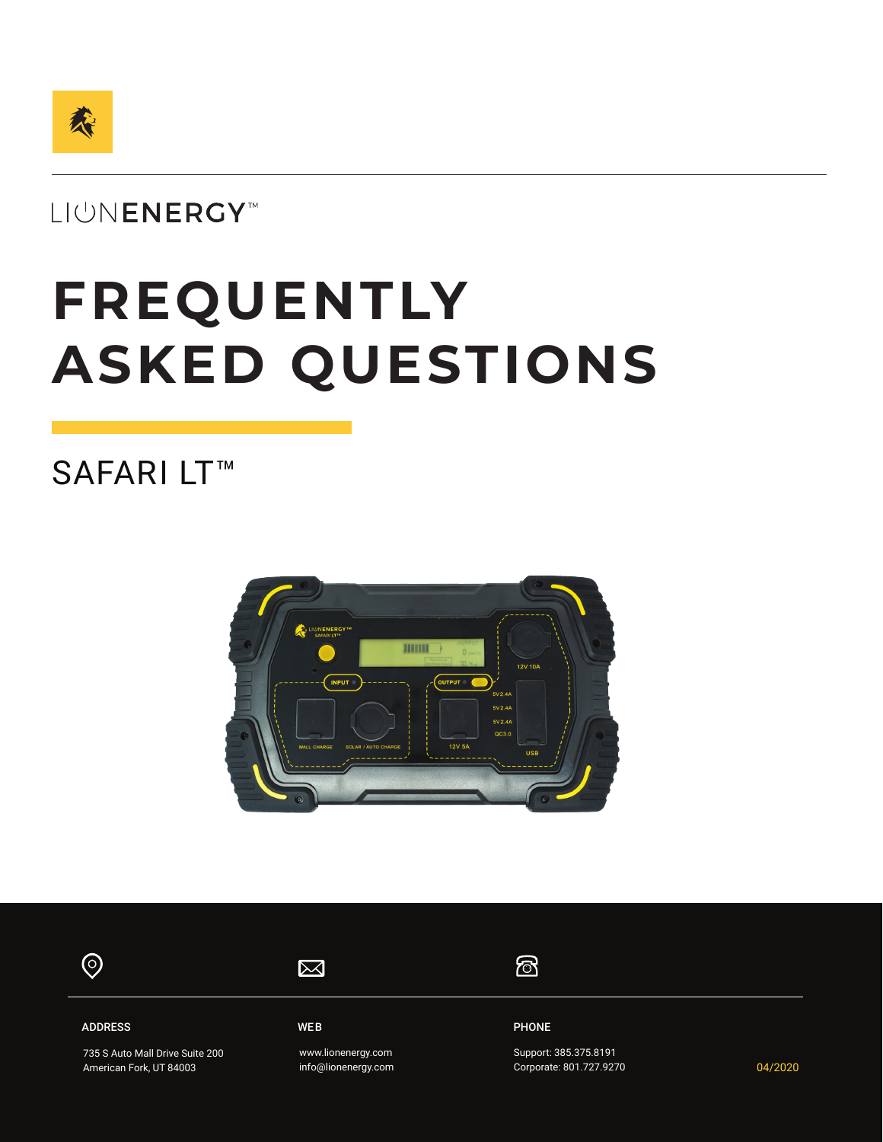

## LIUNENERGY

# **FREQUENTLY ASKED QUESTIONS**

## SAFARILT<sup>™</sup>



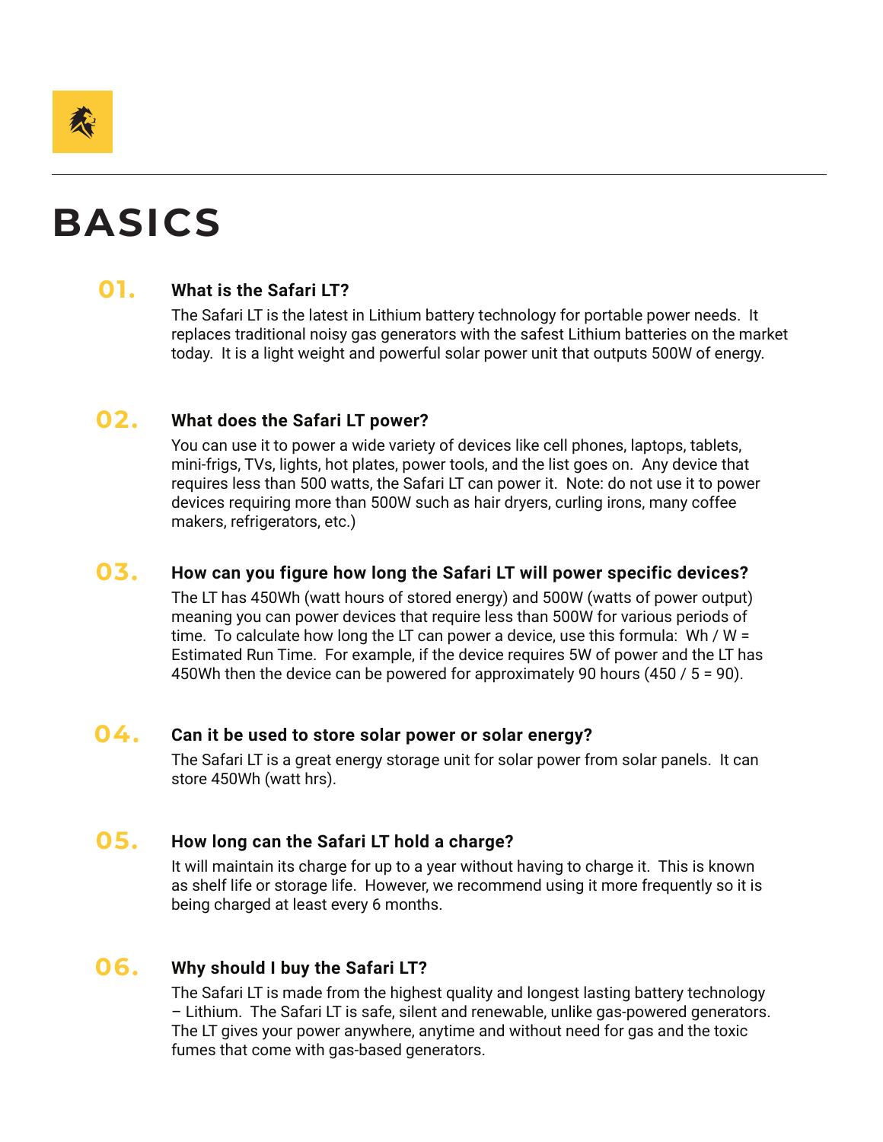

## **BASICS**

### **01. What is the Safari LT?**

The Safari LT is the latest in Lithium battery technology for portable power needs. It replaces traditional noisy gas generators with the safest Lithium batteries on the market today. It is a light weight and powerful solar power unit that outputs 500W of energy.

### **02. What does the Safari LT power?**

You can use it to power a wide variety of devices like cell phones, laptops, tablets, mini-frigs, TVs, lights, hot plates, power tools, and the list goes on. Any device that requires less than 500 watts, the Safari LT can power it. Note: do not use it to power devices requiring more than 500W such as hair dryers, curling irons, many coffee makers, refrigerators, etc.)

### **03. How can you figure how long the Safari LT will power specific devices?**

The LT has 450Wh (watt hours of stored energy) and 500W (watts of power output) meaning you can power devices that require less than 500W for various periods of time. To calculate how long the LT can power a device, use this formula: Wh / W = Estimated Run Time. For example, if the device requires 5W of power and the LT has 450Wh then the device can be powered for approximately 90 hours (450 / 5 = 90).

### **04. Can it be used to store solar power or solar energy?**

The Safari LT is a great energy storage unit for solar power from solar panels. It can store 450Wh (watt hrs).

### **05. How long can the Safari LT hold a charge?**

It will maintain its charge for up to a year without having to charge it. This is known as shelf life or storage life. However, we recommend using it more frequently so it is being charged at least every 6 months.

### **06. Why should I buy the Safari LT?**

The Safari LT is made from the highest quality and longest lasting battery technology – Lithium. The Safari LT is safe, silent and renewable, unlike gas-powered generators. The LT gives your power anywhere, anytime and without need for gas and the toxic fumes that come with gas-based generators.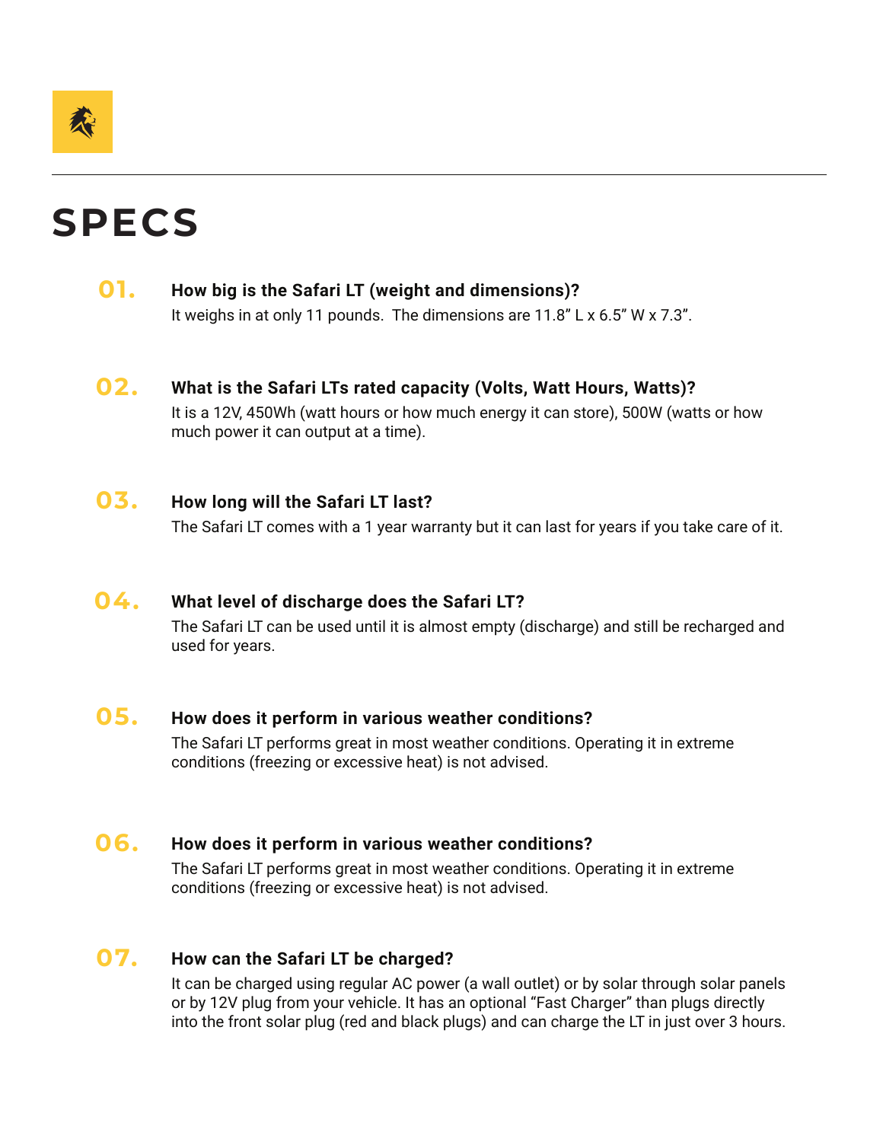

## **SPECS**

### **01. How big is the Safari LT (weight and dimensions)?**

It weighs in at only 11 pounds. The dimensions are 11.8" L x 6.5" W x 7.3".

### **02. What is the Safari LTs rated capacity (Volts, Watt Hours, Watts)?**

It is a 12V, 450Wh (watt hours or how much energy it can store), 500W (watts or how much power it can output at a time).

### **03. How long will the Safari LT last?**

The Safari LT comes with a 1 year warranty but it can last for years if you take care of it.

### **04. What level of discharge does the Safari LT?**

The Safari LT can be used until it is almost empty (discharge) and still be recharged and used for years.

### **05. How does it perform in various weather conditions?**

The Safari LT performs great in most weather conditions. Operating it in extreme conditions (freezing or excessive heat) is not advised.

### **06. How does it perform in various weather conditions?**

The Safari LT performs great in most weather conditions. Operating it in extreme conditions (freezing or excessive heat) is not advised.

### **07. How can the Safari LT be charged?**

It can be charged using regular AC power (a wall outlet) or by solar through solar panels or by 12V plug from your vehicle. It has an optional "Fast Charger" than plugs directly into the front solar plug (red and black plugs) and can charge the LT in just over 3 hours.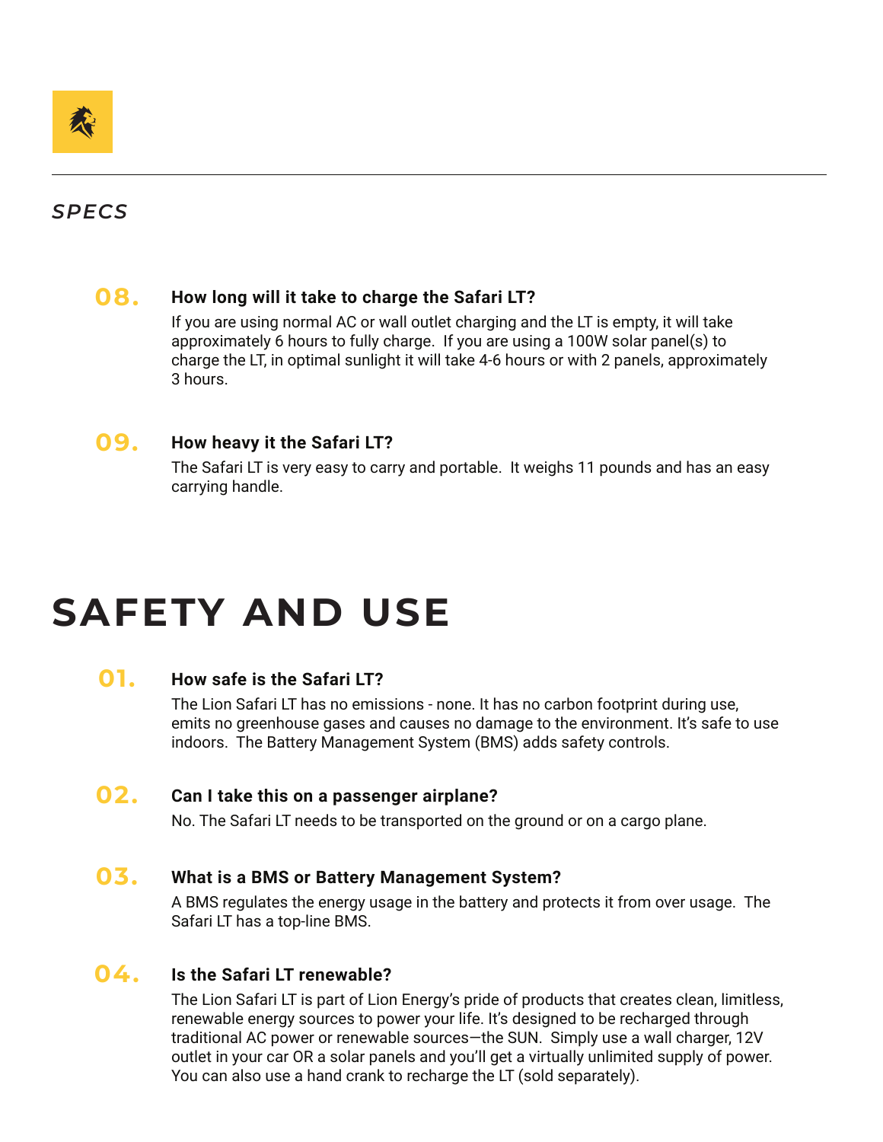

## *SPECS*

### **08. How long will it take to charge the Safari LT?**

If you are using normal AC or wall outlet charging and the LT is empty, it will take approximately 6 hours to fully charge. If you are using a 100W solar panel(s) to charge the LT, in optimal sunlight it will take 4-6 hours or with 2 panels, approximately 3 hours.

### **09. How heavy it the Safari LT?**

The Safari LT is very easy to carry and portable. It weighs 11 pounds and has an easy carrying handle.

## **SAFETY AND USE**

### **01. How safe is the Safari LT?**

The Lion Safari LT has no emissions - none. It has no carbon footprint during use, emits no greenhouse gases and causes no damage to the environment. It's safe to use indoors. The Battery Management System (BMS) adds safety controls.

### **02. Can I take this on a passenger airplane?**

No. The Safari LT needs to be transported on the ground or on a cargo plane.

### **03. What is a BMS or Battery Management System?**

A BMS regulates the energy usage in the battery and protects it from over usage. The Safari LT has a top-line BMS.

#### **04. Is the Safari LT renewable?**

The Lion Safari LT is part of Lion Energy's pride of products that creates clean, limitless, renewable energy sources to power your life. It's designed to be recharged through traditional AC power or renewable sources—the SUN. Simply use a wall charger, 12V outlet in your car OR a solar panels and you'll get a virtually unlimited supply of power. You can also use a hand crank to recharge the LT (sold separately).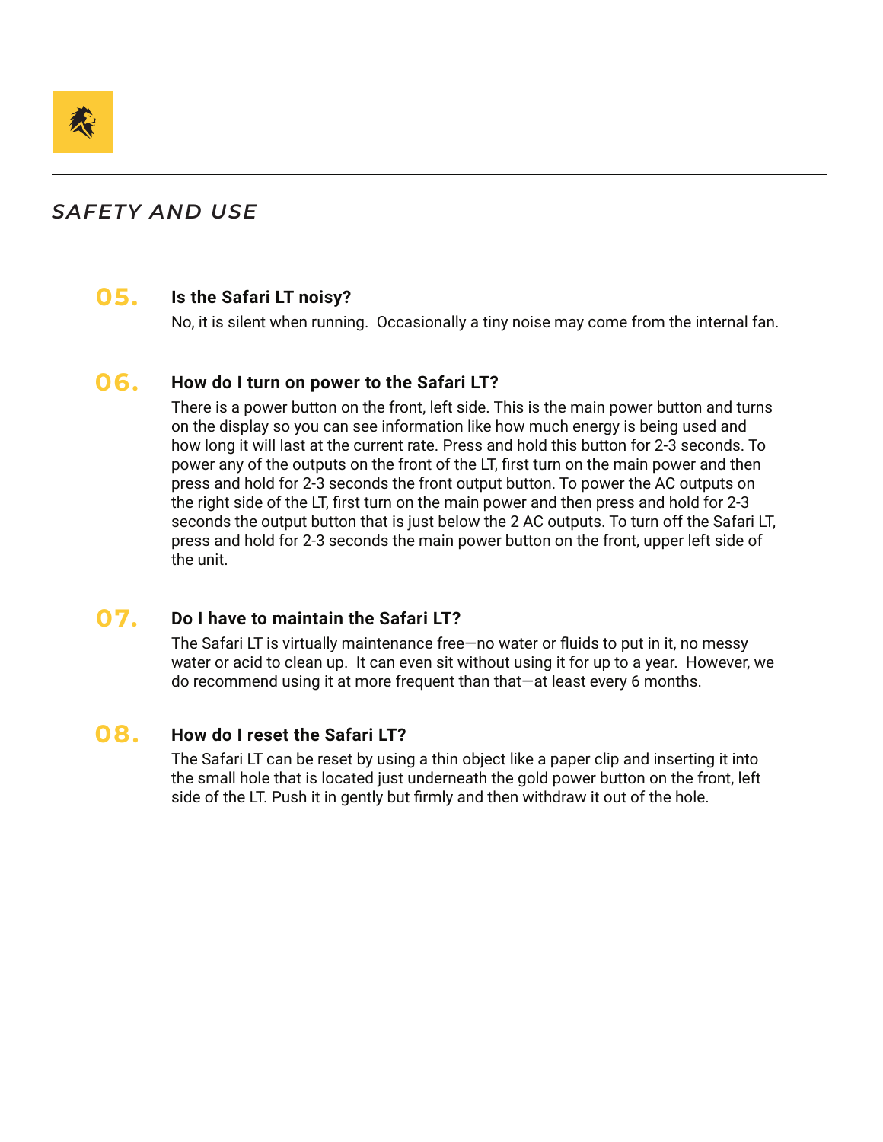

### *SAFETY AND USE*

### **05. Is the Safari LT noisy?**

No, it is silent when running. Occasionally a tiny noise may come from the internal fan.

#### **06. How do I turn on power to the Safari LT?**

There is a power button on the front, left side. This is the main power button and turns on the display so you can see information like how much energy is being used and how long it will last at the current rate. Press and hold this button for 2-3 seconds. To power any of the outputs on the front of the LT, first turn on the main power and then press and hold for 2-3 seconds the front output button. To power the AC outputs on the right side of the LT, first turn on the main power and then press and hold for 2-3 seconds the output button that is just below the 2 AC outputs. To turn off the Safari LT, press and hold for 2-3 seconds the main power button on the front, upper left side of the unit.

#### **07. Do I have to maintain the Safari LT?**

The Safari LT is virtually maintenance free—no water or fluids to put in it, no messy water or acid to clean up. It can even sit without using it for up to a year. However, we do recommend using it at more frequent than that—at least every 6 months.

### **08. How do I reset the Safari LT?**

The Safari LT can be reset by using a thin object like a paper clip and inserting it into the small hole that is located just underneath the gold power button on the front, left side of the LT. Push it in gently but firmly and then withdraw it out of the hole.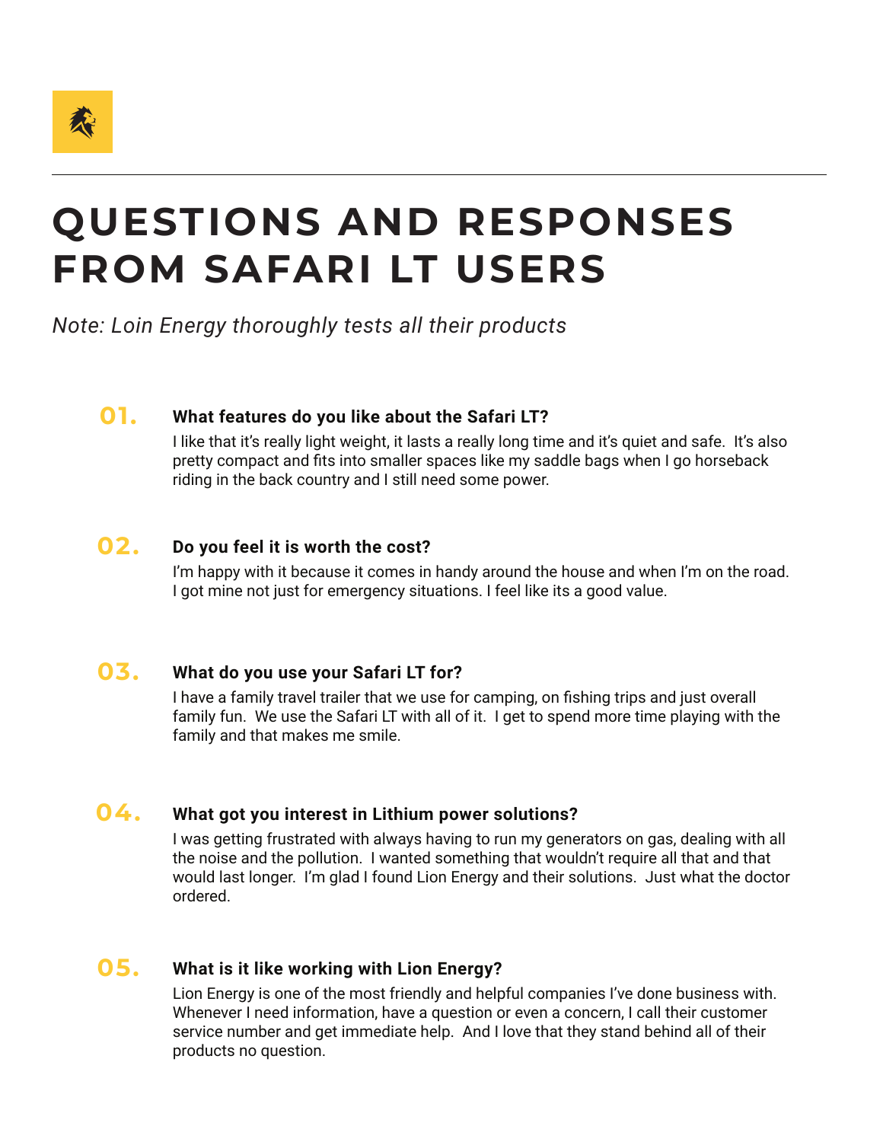

## **QUESTIONS AND RESPONSES FROM SAFARI LT USERS**

*Note: Loin Energy thoroughly tests all their products*

### **01. What features do you like about the Safari LT?**

I like that it's really light weight, it lasts a really long time and it's quiet and safe. It's also pretty compact and fits into smaller spaces like my saddle bags when I go horseback riding in the back country and I still need some power.

### **02. Do you feel it is worth the cost?**

I'm happy with it because it comes in handy around the house and when I'm on the road. I got mine not just for emergency situations. I feel like its a good value.

### **03. What do you use your Safari LT for?**

I have a family travel trailer that we use for camping, on fishing trips and just overall family fun. We use the Safari LT with all of it. I get to spend more time playing with the family and that makes me smile.

#### **04. What got you interest in Lithium power solutions?**

I was getting frustrated with always having to run my generators on gas, dealing with all the noise and the pollution. I wanted something that wouldn't require all that and that would last longer. I'm glad I found Lion Energy and their solutions. Just what the doctor ordered.

### **05. What is it like working with Lion Energy?**

Lion Energy is one of the most friendly and helpful companies I've done business with. Whenever I need information, have a question or even a concern, I call their customer service number and get immediate help. And I love that they stand behind all of their products no question.